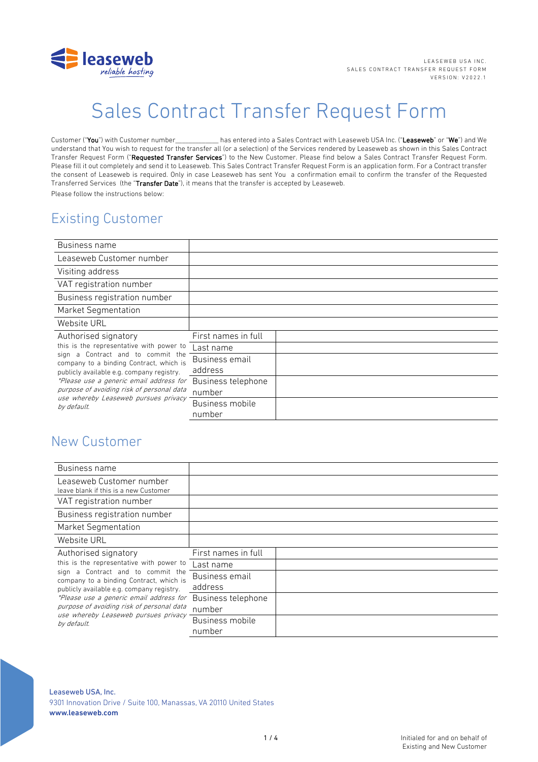

# Sales Contract Transfer Request Form

Customer ("You") with Customer number has entered into a Sales Contract with Leaseweb USA Inc. ("Leaseweb" or "We") and We understand that You wish to request for the transfer all (or a selection) of the Services rendered by Leaseweb as shown in this Sales Contract Transfer Request Form ("Requested Transfer Services") to the New Customer. Please find below a Sales Contract Transfer Request Form. Please fill it out completely and send it to Leaseweb. This Sales Contract Transfer Request Form is an application form. For a Contract transfer the consent of Leaseweb is required. Only in case Leaseweb has sent You a confirmation email to confirm the transfer of the Requested Transferred Services (the "Transfer Date"), it means that the transfer is accepted by Leaseweb. Please follow the instructions below:

# Existing Customer

| Business name                                                                                                                                                                                                                                                                                                                                   |                     |  |
|-------------------------------------------------------------------------------------------------------------------------------------------------------------------------------------------------------------------------------------------------------------------------------------------------------------------------------------------------|---------------------|--|
| Leaseweb Customer number                                                                                                                                                                                                                                                                                                                        |                     |  |
| Visiting address                                                                                                                                                                                                                                                                                                                                |                     |  |
| VAT registration number                                                                                                                                                                                                                                                                                                                         |                     |  |
| Business registration number                                                                                                                                                                                                                                                                                                                    |                     |  |
| <b>Market Segmentation</b>                                                                                                                                                                                                                                                                                                                      |                     |  |
| Website URL                                                                                                                                                                                                                                                                                                                                     |                     |  |
| Authorised signatory<br>this is the representative with power to<br>a Contract and to commit the<br>sign<br>company to a binding Contract, which is<br>publicly available e.g. company registry.<br>*Please use a generic email address for<br>purpose of avoiding risk of personal data<br>use whereby Leaseweb pursues privacy<br>by default. | First names in full |  |
|                                                                                                                                                                                                                                                                                                                                                 | Last name           |  |
|                                                                                                                                                                                                                                                                                                                                                 | Business email      |  |
|                                                                                                                                                                                                                                                                                                                                                 | address             |  |
|                                                                                                                                                                                                                                                                                                                                                 | Business telephone  |  |
|                                                                                                                                                                                                                                                                                                                                                 | number              |  |
|                                                                                                                                                                                                                                                                                                                                                 | Business mobile     |  |
|                                                                                                                                                                                                                                                                                                                                                 | number              |  |

## New Customer

| Business name                                                                                                                                                                                                                                                                                                                                |                              |  |
|----------------------------------------------------------------------------------------------------------------------------------------------------------------------------------------------------------------------------------------------------------------------------------------------------------------------------------------------|------------------------------|--|
| Leaseweb Customer number<br>leave blank if this is a new Customer                                                                                                                                                                                                                                                                            |                              |  |
| VAT registration number                                                                                                                                                                                                                                                                                                                      |                              |  |
| Business registration number                                                                                                                                                                                                                                                                                                                 |                              |  |
| <b>Market Segmentation</b>                                                                                                                                                                                                                                                                                                                   |                              |  |
| Website URL                                                                                                                                                                                                                                                                                                                                  |                              |  |
| Authorised signatory<br>this is the representative with power to<br>sign a Contract and to commit the<br>company to a binding Contract, which is<br>publicly available e.g. company registry.<br>*Please use a generic email address for<br>purpose of avoiding risk of personal data<br>use whereby Leaseweb pursues privacy<br>by default. | First names in full          |  |
|                                                                                                                                                                                                                                                                                                                                              | Last name                    |  |
|                                                                                                                                                                                                                                                                                                                                              | Business email<br>address    |  |
|                                                                                                                                                                                                                                                                                                                                              | Business telephone<br>number |  |
|                                                                                                                                                                                                                                                                                                                                              | Business mobile<br>number    |  |

Leaseweb USA, Inc. 9301 Innovation Drive / Suite 100, Manassas, VA 20110 United States www.leaseweb.com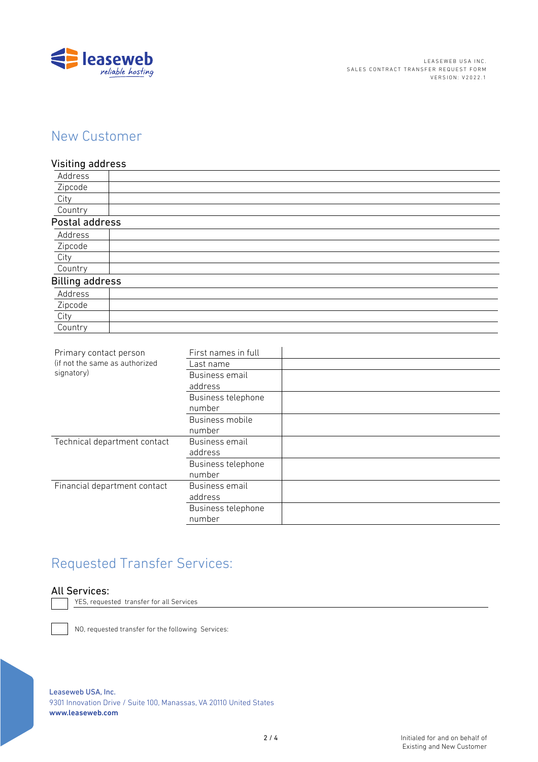

# New Customer

### Visiting address

| Address                |  |
|------------------------|--|
| Zipcode                |  |
| City                   |  |
| Country                |  |
| Postal address         |  |
| Address                |  |
| Zipcode                |  |
| City                   |  |
| Country                |  |
| <b>Billing address</b> |  |
| Address                |  |
| Zipcode                |  |
| City                   |  |
| Country                |  |

| Primary contact person<br>(if not the same as authorized<br>signatory) | First names in full |  |
|------------------------------------------------------------------------|---------------------|--|
|                                                                        | Last name           |  |
|                                                                        | Business email      |  |
|                                                                        | address             |  |
|                                                                        | Business telephone  |  |
|                                                                        | number              |  |
|                                                                        | Business mobile     |  |
|                                                                        | number              |  |
| Technical department contact                                           | Business email      |  |
|                                                                        | address             |  |
|                                                                        | Business telephone  |  |
|                                                                        | number              |  |
| Financial department contact                                           | Business email      |  |
|                                                                        | address             |  |
|                                                                        | Business telephone  |  |
|                                                                        | number              |  |
|                                                                        |                     |  |

# Requested Transfer Services:

### All Services:

YES, requested transfer for all Services

NO, requested transfer for the following Services:

Leaseweb USA, Inc. 9301 Innovation Drive / Suite 100, Manassas, VA 20110 United States www.leaseweb.com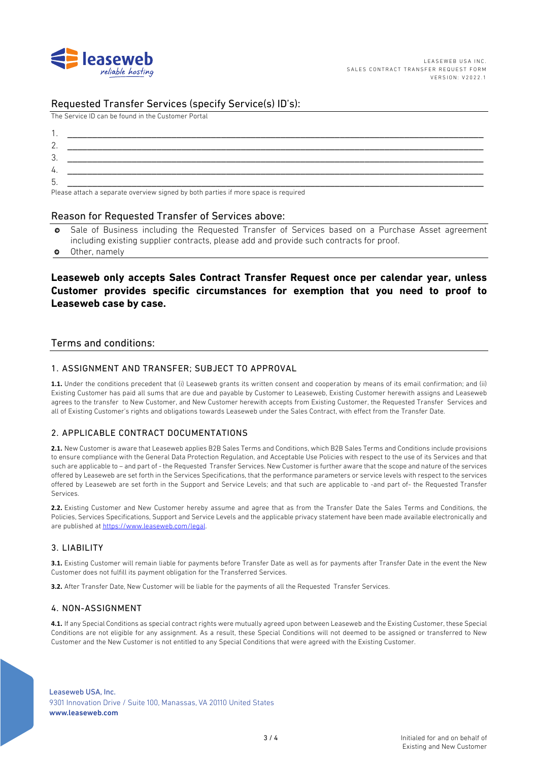

### Requested Transfer Services (specify Service(s) ID's):

The Service ID can be found in the Customer Portal

| .ن |                                                                                                                                                                                                                                |
|----|--------------------------------------------------------------------------------------------------------------------------------------------------------------------------------------------------------------------------------|
| 4. |                                                                                                                                                                                                                                |
| b. |                                                                                                                                                                                                                                |
|    | the contract of the contract of the contract of the contract of the contract of the contract of the contract of the contract of the contract of the contract of the contract of the contract of the contract of the contract o |

Please attach a separate overview signed by both parties if more space is required

#### Reason for Requested Transfer of Services above:

- Sale of Business including the Requested Transfer of Services based on a Purchase Asset agreement  $\bullet$ including existing supplier contracts, please add and provide such contracts for proof.
- Other, namely  $\bullet$

### Leaseweb only accepts Sales Contract Transfer Request once per calendar year, unless Customer provides specific circumstances for exemption that you need to proof to Leaseweb case by case.

#### Terms and conditions:

#### 1. ASSIGNMENT AND TRANSFER: SUBJECT TO APPROVAL

1.1. Under the conditions precedent that (i) Leaseweb grants its written consent and cooperation by means of its email confirmation; and (ii) Existing Customer has paid all sums that are due and payable by Customer to Leaseweb, Existing Customer herewith assigns and Leaseweb agrees to the transfer to New Customer, and New Customer herewith accepts from Existing Customer, the Requested Transfer Services and all of Existing Customer's rights and obligations towards Leaseweb under the Sales Contract, with effect from the Transfer Date.

#### 2 APPLICABLE CONTRACT DOCUMENTATIONS

2.1. New Customer is aware that Leaseweb applies B2B Sales Terms and Conditions, which B2B Sales Terms and Conditions include provisions to ensure compliance with the General Data Protection Regulation, and Acceptable Use Policies with respect to the use of its Services and that such are applicable to - and part of - the Requested Transfer Services. New Customer is further aware that the scope and nature of the services offered by Leaseweb are set forth in the Services Specifications, that the performance parameters or service levels with respect to the services offered by Leaseweb are set forth in the Support and Service Levels; and that such are applicable to -and part of- the Requested Transfer Services

2.2. Existing Customer and New Customer hereby assume and agree that as from the Transfer Date the Sales Terms and Conditions, the Policies, Services Specifications, Support and Service Levels and the applicable privacy statement have been made available electronically and are published at https://www.leaseweb.com/legal.

#### 3. LIABILITY

3.1. Existing Customer will remain liable for payments before Transfer Date as well as for payments after Transfer Date in the event the New Customer does not fulfill its payment obligation for the Transferred Services.

3.2. After Transfer Date, New Customer will be liable for the payments of all the Requested Transfer Services.

#### 4. NON-ASSIGNMENT

4.1. If any Special Conditions as special contract rights were mutually agreed upon between Leaseweb and the Existing Customer, these Special Conditions are not eligible for any assignment. As a result, these Special Conditions will not deemed to be assigned or transferred to New Customer and the New Customer is not entitled to any Special Conditions that were agreed with the Existing Customer.